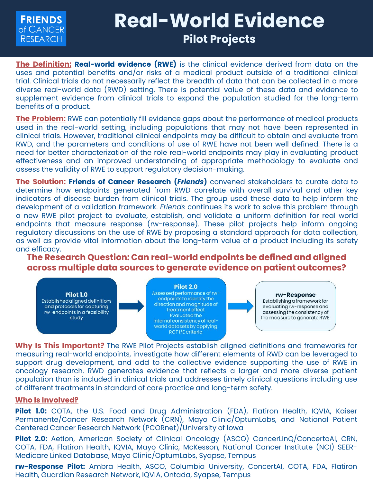

# **Real-World Evidence Pilot Projects**

**The Definition: Real-world evidence (RWE)** is the clinical evidence derived from data on the uses and potential benefits and/or risks of a medical product outside of a traditional clinical trial. Clinical trials do not necessarily reflect the breadth of data that can be collected in a more diverse real-world data (RWD) setting. There is potential value of these data and evidence to supplement evidence from clinical trials to expand the population studied for the long-term benefits of a product.

**The Problem:** RWE can potentially fill evidence gaps about the performance of medical products used in the real-world setting, including populations that may not have been represented in clinical trials. However, traditional clinical endpoints may be difficult to obtain and evaluate from RWD, and the parameters and conditions of use of RWE have not been well defined. There is a need for better characterization of the role real-world endpoints may play in evaluating product effectiveness and an improved understanding of appropriate methodology to evaluate and assess the validity of RWE to support regulatory decision-making.

**The Solution: Friends of Cancer Research (***Friends***)** convened stakeholders to curate data to determine how endpoints generated from RWD correlate with overall survival and other key indicators of disease burden from clinical trials. The group used these data to help inform the development of a validation framework. *Friends* continues its work to solve this problem through a new RWE pilot project to evaluate, establish, and validate a uniform definition for real world endpoints that measure response (rw-response). These pilot projects help inform ongoing regulatory discussions on the use of RWE by proposing a standard approach for data collection, as well as provide vital information about the long-term value of a product including its safety and efficacy.

**The Research Question: Can real-world endpoints be defined and aligned across multiple data sources to generate evidence on patient outcomes?**



Established aligned definitions and protocols for capturing rw-endpoints in a feasibility study

#### **Pilot 2.0**

Assessed performance of rwendpoints to identify the direction and magnitude of treatment effect Evaluated the internal consistency of realworld datasets by applying RCT I/E criteria

#### rw-Response

Establishing a framework for evaluating rw-response and assessing the consistency of the measure to generate RWE

**Why Is This Important?** The RWE Pilot Projects establish aligned definitions and frameworks for measuring real-world endpoints, investigate how different elements of RWD can be leveraged to support drug development, and add to the collective evidence supporting the use of RWE in oncology research. RWD generates evidence that reflects a larger and more diverse patient population than is included in clinical trials and addresses timely clinical questions including use of different treatments in standard of care practice and long-term safety.

### **Who Is Involved?**

**Pilot 1.0:** COTA, the U.S. Food and Drug Administration (FDA), Flatiron Health, IQVIA, Kaiser Permanente/Cancer Research Network (CRN), Mayo Clinic/OptumLabs, and National Patient Centered Cancer Research Network (PCORnet)/University of Iowa

**Pilot 2.0:** Aetion, American Society of Clinical Oncology (ASCO) CancerLinQ/ConcertoAI, CRN, COTA, FDA, Flatiron Health, IQVIA, Mayo Clinic, McKesson, National Cancer Institute (NCI) SEER-Medicare Linked Database, Mayo Clinic/OptumLabs, Syapse, Tempus

**rw-Response Pilot:** Ambra Health, ASCO, Columbia University, ConcertAI, COTA, FDA, Flatiron Health, Guardian Research Network, IQVIA, Ontada, Syapse, Tempus